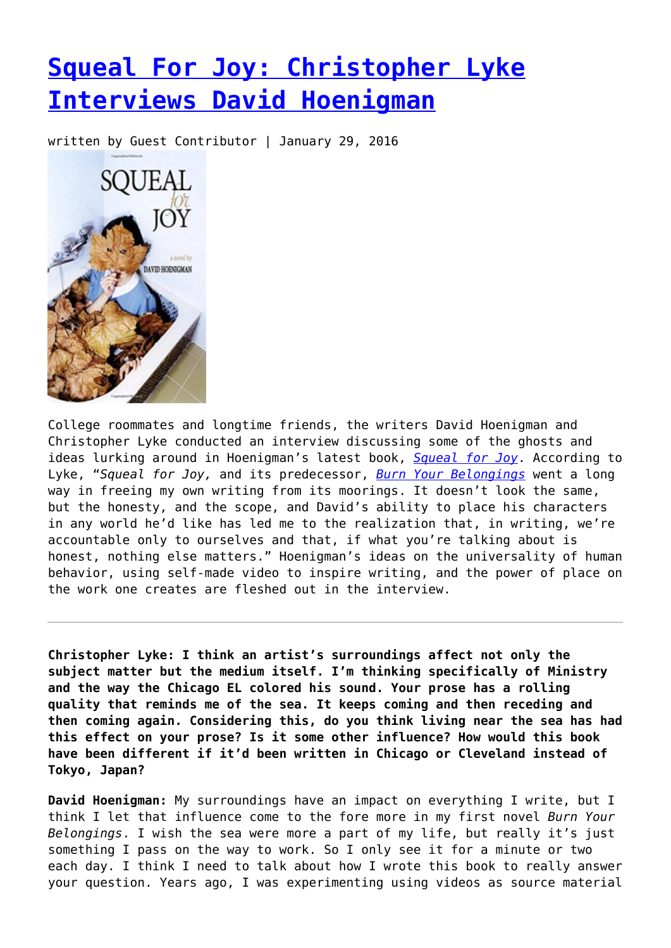## **[Squeal For Joy: Christopher Lyke](https://entropymag.org/squeal-for-joy-christopher-lyke-interviews-david-hoenigman/) [Interviews David Hoenigman](https://entropymag.org/squeal-for-joy-christopher-lyke-interviews-david-hoenigman/)**

written by Guest Contributor | January 29, 2016



College roommates and longtime friends, the writers David Hoenigman and Christopher Lyke conducted an interview discussing some of the ghosts and ideas lurking around in Hoenigman's latest book, *[Squeal for Joy](http://www.amazon.com/Squeal-For-Joy-David-Hoenigman/dp/1515009319)*. According to Lyke, "*Squeal for Joy,* and its predecessor, *[Burn Your Belongings](http://www.amazon.com/Burn-Your-Belongings-David-Hoenigman/dp/0982077580)* went a long way in freeing my own writing from its moorings. It doesn't look the same, but the honesty, and the scope, and David's ability to place his characters in any world he'd like has led me to the realization that, in writing, we're accountable only to ourselves and that, if what you're talking about is honest, nothing else matters." Hoenigman's ideas on the universality of human behavior, using self-made video to inspire writing, and the power of place on the work one creates are fleshed out in the interview.

**Christopher Lyke: I think an artist's surroundings affect not only the subject matter but the medium itself. I'm thinking specifically of Ministry and the way the Chicago EL colored his sound. Your prose has a rolling quality that reminds me of the sea. It keeps coming and then receding and then coming again. Considering this, do you think living near the sea has had this effect on your prose? Is it some other influence? How would this book have been different if it'd been written in Chicago or Cleveland instead of Tokyo, Japan?**

**David Hoenigman:** My surroundings have an impact on everything I write, but I think I let that influence come to the fore more in my first novel *Burn Your Belongings*. I wish the sea were more a part of my life, but really it's just something I pass on the way to work. So I only see it for a minute or two each day. I think I need to talk about how I wrote this book to really answer your question. Years ago, I was experimenting using videos as source material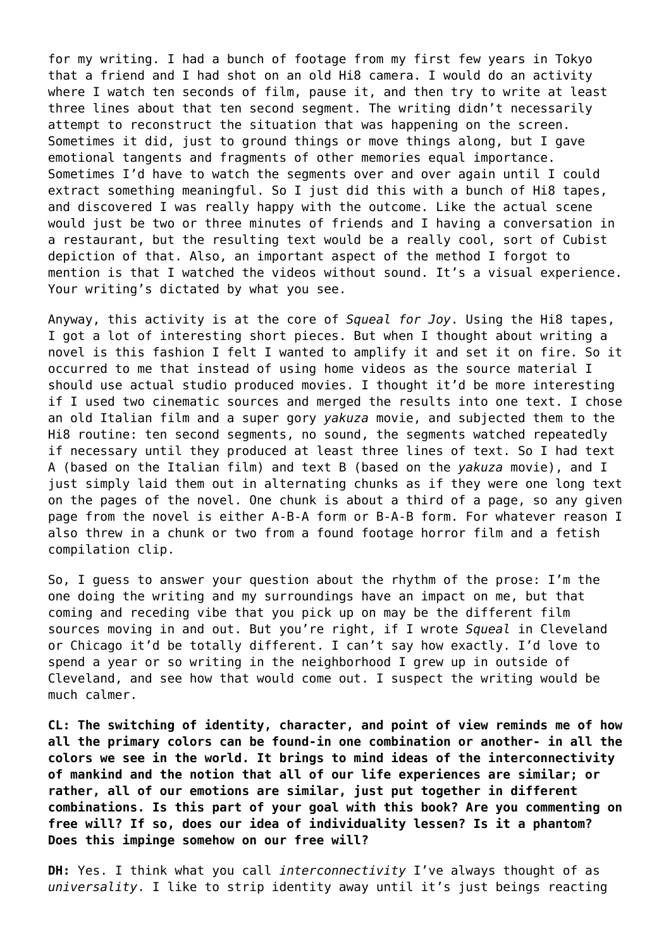for my writing. I had a bunch of footage from my first few years in Tokyo that a friend and I had shot on an old Hi8 camera. I would do an activity where I watch ten seconds of film, pause it, and then try to write at least three lines about that ten second segment. The writing didn't necessarily attempt to reconstruct the situation that was happening on the screen. Sometimes it did, just to ground things or move things along, but I gave emotional tangents and fragments of other memories equal importance. Sometimes I'd have to watch the segments over and over again until I could extract something meaningful. So I just did this with a bunch of Hi8 tapes, and discovered I was really happy with the outcome. Like the actual scene would just be two or three minutes of friends and I having a conversation in a restaurant, but the resulting text would be a really cool, sort of Cubist depiction of that. Also, an important aspect of the method I forgot to mention is that I watched the videos without sound. It's a visual experience. Your writing's dictated by what you see.

Anyway, this activity is at the core of *Squeal for Joy*. Using the Hi8 tapes, I got a lot of interesting short pieces. But when I thought about writing a novel is this fashion I felt I wanted to amplify it and set it on fire. So it occurred to me that instead of using home videos as the source material I should use actual studio produced movies. I thought it'd be more interesting if I used two cinematic sources and merged the results into one text. I chose an old Italian film and a super gory *yakuza* movie, and subjected them to the Hi8 routine: ten second segments, no sound, the segments watched repeatedly if necessary until they produced at least three lines of text. So I had text A (based on the Italian film) and text B (based on the *yakuza* movie), and I just simply laid them out in alternating chunks as if they were one long text on the pages of the novel. One chunk is about a third of a page, so any given page from the novel is either A-B-A form or B-A-B form. For whatever reason I also threw in a chunk or two from a found footage horror film and a fetish compilation clip.

So, I guess to answer your question about the rhythm of the prose: I'm the one doing the writing and my surroundings have an impact on me, but that coming and receding vibe that you pick up on may be the different film sources moving in and out. But you're right, if I wrote *Squeal* in Cleveland or Chicago it'd be totally different. I can't say how exactly. I'd love to spend a year or so writing in the neighborhood I grew up in outside of Cleveland, and see how that would come out. I suspect the writing would be much calmer.

**CL: The switching of identity, character, and point of view reminds me of how all the primary colors can be found-in one combination or another- in all the colors we see in the world. It brings to mind ideas of the interconnectivity of mankind and the notion that all of our life experiences are similar; or rather, all of our emotions are similar, just put together in different combinations. Is this part of your goal with this book? Are you commenting on free will? If so, does our idea of individuality lessen? Is it a phantom? Does this impinge somehow on our free will?**

**DH:** Yes. I think what you call *interconnectivity* I've always thought of as *universality*. I like to strip identity away until it's just beings reacting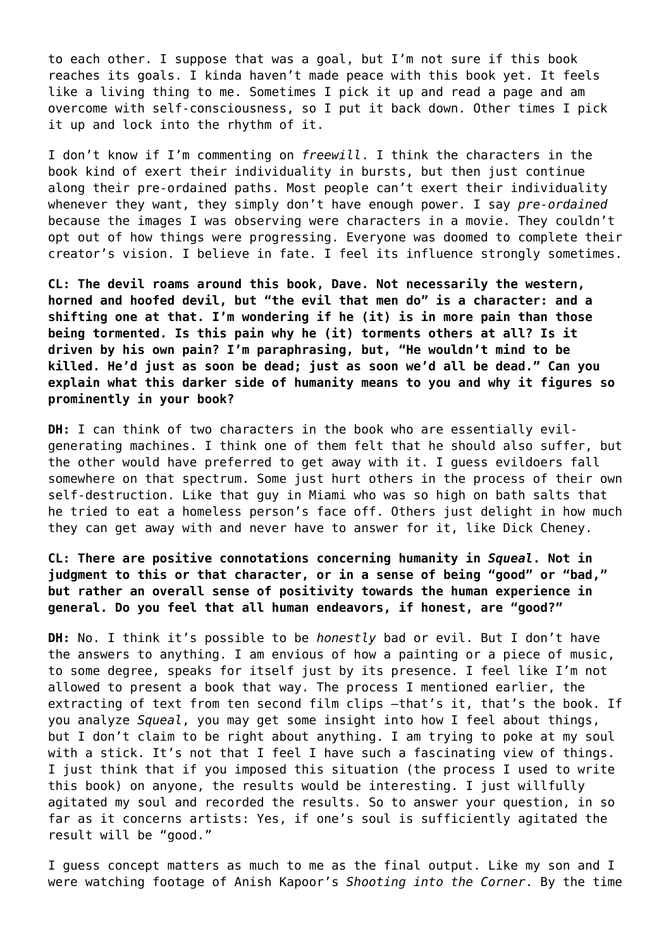to each other. I suppose that was a goal, but I'm not sure if this book reaches its goals. I kinda haven't made peace with this book yet. It feels like a living thing to me. Sometimes I pick it up and read a page and am overcome with self-consciousness, so I put it back down. Other times I pick it up and lock into the rhythm of it.

I don't know if I'm commenting on *freewill*. I think the characters in the book kind of exert their individuality in bursts, but then just continue along their pre-ordained paths. Most people can't exert their individuality whenever they want, they simply don't have enough power. I say *pre-ordained* because the images I was observing were characters in a movie. They couldn't opt out of how things were progressing. Everyone was doomed to complete their creator's vision. I believe in fate. I feel its influence strongly sometimes.

**CL: The devil roams around this book, Dave. Not necessarily the western, horned and hoofed devil, but "the evil that men do" is a character: and a shifting one at that. I'm wondering if he (it) is in more pain than those being tormented. Is this pain why he (it) torments others at all? Is it driven by his own pain? I'm paraphrasing, but, "He wouldn't mind to be killed. He'd just as soon be dead; just as soon we'd all be dead." Can you explain what this darker side of humanity means to you and why it figures so prominently in your book?**

**DH:** I can think of two characters in the book who are essentially evilgenerating machines. I think one of them felt that he should also suffer, but the other would have preferred to get away with it. I guess evildoers fall somewhere on that spectrum. Some just hurt others in the process of their own self-destruction. Like that guy in Miami who was so high on bath salts that he tried to eat a homeless person's face off. Others just delight in how much they can get away with and never have to answer for it, like Dick Cheney.

**CL: There are positive connotations concerning humanity in** *Squeal***. Not in judgment to this or that character, or in a sense of being "good" or "bad," but rather an overall sense of positivity towards the human experience in general. Do you feel that all human endeavors, if honest, are "good?"**

**DH:** No. I think it's possible to be *honestly* bad or evil. But I don't have the answers to anything. I am envious of how a painting or a piece of music, to some degree, speaks for itself just by its presence. I feel like I'm not allowed to present a book that way. The process I mentioned earlier, the extracting of text from ten second film clips –that's it, that's the book. If you analyze *Squeal*, you may get some insight into how I feel about things, but I don't claim to be right about anything. I am trying to poke at my soul with a stick. It's not that I feel I have such a fascinating view of things. I just think that if you imposed this situation (the process I used to write this book) on anyone, the results would be interesting. I just willfully agitated my soul and recorded the results. So to answer your question, in so far as it concerns artists: Yes, if one's soul is sufficiently agitated the result will be "good."

I guess concept matters as much to me as the final output. Like my son and I were watching footage of Anish Kapoor's *Shooting into the Corner*. By the time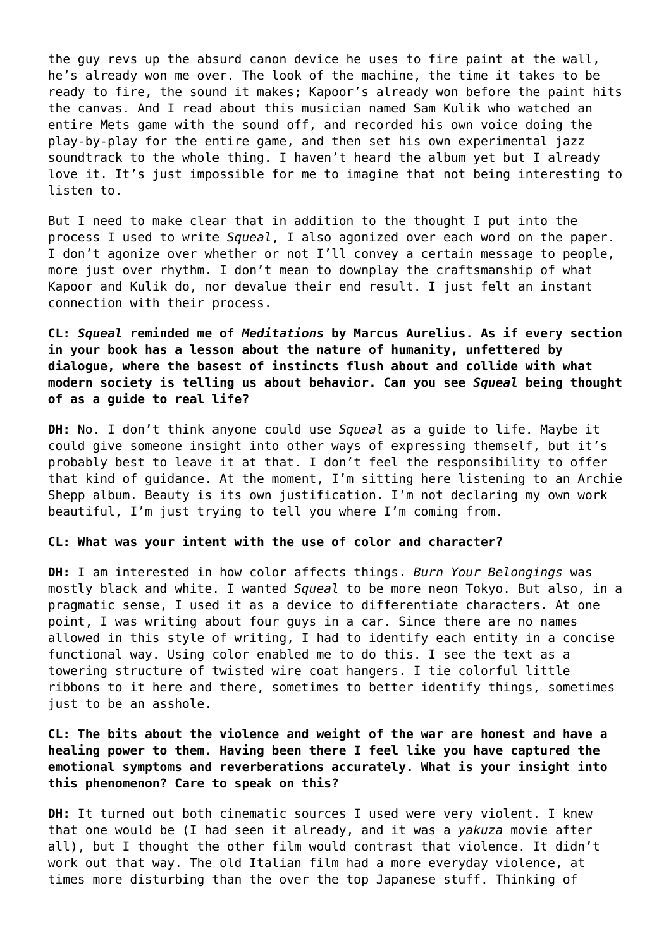the guy revs up the absurd canon device he uses to fire paint at the wall, he's already won me over. The look of the machine, the time it takes to be ready to fire, the sound it makes; Kapoor's already won before the paint hits the canvas. And I read about this musician named Sam Kulik who watched an entire Mets game with the sound off, and recorded his own voice doing the play-by-play for the entire game, and then set his own experimental jazz soundtrack to the whole thing. I haven't heard the album yet but I already love it. It's just impossible for me to imagine that not being interesting to listen to.

But I need to make clear that in addition to the thought I put into the process I used to write *Squeal*, I also agonized over each word on the paper. I don't agonize over whether or not I'll convey a certain message to people, more just over rhythm. I don't mean to downplay the craftsmanship of what Kapoor and Kulik do, nor devalue their end result. I just felt an instant connection with their process.

**CL:** *Squeal* **reminded me of** *Meditations* **by Marcus Aurelius. As if every section in your book has a lesson about the nature of humanity, unfettered by dialogue, where the basest of instincts flush about and collide with what modern society is telling us about behavior. Can you see** *Squeal* **being thought of as a guide to real life?**

**DH:** No. I don't think anyone could use *Squeal* as a guide to life. Maybe it could give someone insight into other ways of expressing themself, but it's probably best to leave it at that. I don't feel the responsibility to offer that kind of guidance. At the moment, I'm sitting here listening to an Archie Shepp album. Beauty is its own justification. I'm not declaring my own work beautiful, I'm just trying to tell you where I'm coming from.

## **CL: What was your intent with the use of color and character?**

**DH:** I am interested in how color affects things. *Burn Your Belongings* was mostly black and white. I wanted *Squeal* to be more neon Tokyo. But also, in a pragmatic sense, I used it as a device to differentiate characters. At one point, I was writing about four guys in a car. Since there are no names allowed in this style of writing, I had to identify each entity in a concise functional way. Using color enabled me to do this. I see the text as a towering structure of twisted wire coat hangers. I tie colorful little ribbons to it here and there, sometimes to better identify things, sometimes just to be an asshole.

**CL: The bits about the violence and weight of the war are honest and have a healing power to them. Having been there I feel like you have captured the emotional symptoms and reverberations accurately. What is your insight into this phenomenon? Care to speak on this?**

**DH:** It turned out both cinematic sources I used were very violent. I knew that one would be (I had seen it already, and it was a *yakuza* movie after all), but I thought the other film would contrast that violence. It didn't work out that way. The old Italian film had a more everyday violence, at times more disturbing than the over the top Japanese stuff. Thinking of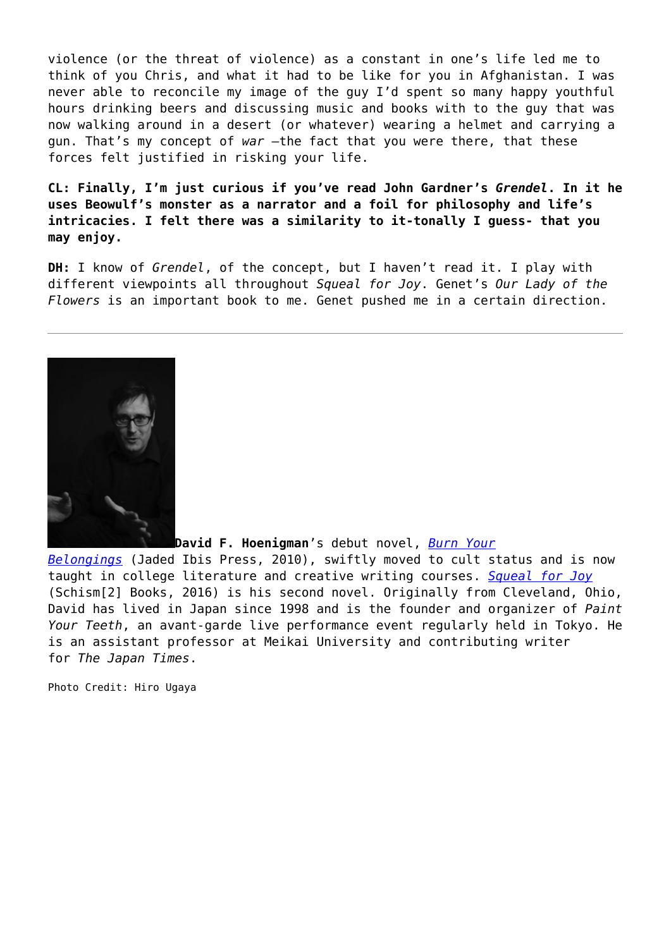violence (or the threat of violence) as a constant in one's life led me to think of you Chris, and what it had to be like for you in Afghanistan. I was never able to reconcile my image of the guy I'd spent so many happy youthful hours drinking beers and discussing music and books with to the guy that was now walking around in a desert (or whatever) wearing a helmet and carrying a gun. That's my concept of *war* –the fact that you were there, that these forces felt justified in risking your life.

**CL: Finally, I'm just curious if you've read John Gardner's** *Grendel***. In it he uses Beowulf's monster as a narrator and a foil for philosophy and life's intricacies. I felt there was a similarity to it-tonally I guess- that you may enjoy.**

**DH:** I know of *Grendel*, of the concept, but I haven't read it. I play with different viewpoints all throughout *Squeal for Joy*. Genet's *Our Lady of the Flowers* is an important book to me. Genet pushed me in a certain direction.



**David F. Hoenigman**'s debut novel, *[Burn Your](http://www.amazon.com/Burn-Your-Belongings-David-Hoenigman/dp/0982077580)*

*[Belongings](http://www.amazon.com/Burn-Your-Belongings-David-Hoenigman/dp/0982077580)* (Jaded Ibis Press, 2010), swiftly moved to cult status and is now taught in college literature and creative writing courses. *[Squeal for Joy](http://www.amazon.com/Squeal-For-Joy-David-Hoenigman/dp/1515009319)* (Schism[2] Books, 2016) is his second novel. Originally from Cleveland, Ohio, David has lived in Japan since 1998 and is the founder and organizer of *Paint Your Teeth*, an avant-garde live performance event regularly held in Tokyo. He is an assistant professor at Meikai University and contributing writer for *The Japan Times*.

Photo Credit: Hiro Ugaya